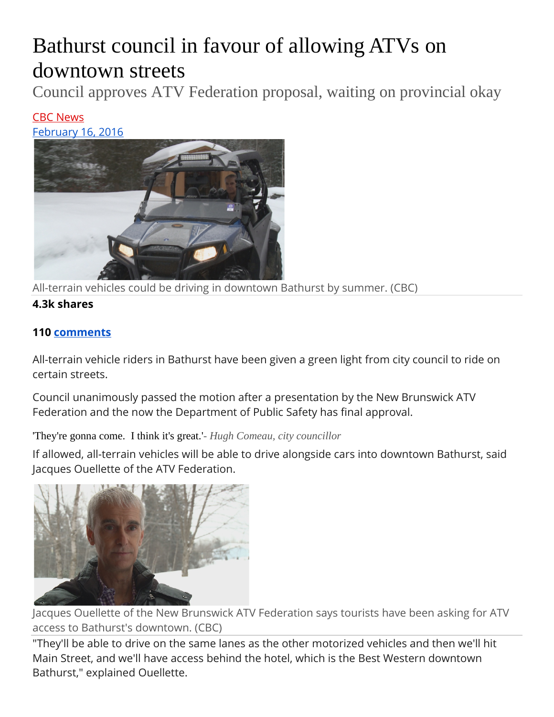## Bathurst council in favour of allowing ATVs on downtown streets

Council approves ATV Federation proposal, waiting on provincial okay

## [CBC News](http://www.cbc.ca/beta/news/cbc-news-online-news-staff-list-1.1294364) February 16, 2016



All-terrain vehicles could be driving in downtown Bathurst by summer. (CBC)

## **4.3k shares**

## **110 [comments](http://www.cbc.ca/beta/news/canada/new-brunswick/bathurst-atv-tourism-1.3451006#commentwrapper)**

All-terrain vehicle riders in Bathurst have been given a green light from city council to ride on certain streets.

Council unanimously passed the motion after a presentation by the New Brunswick ATV Federation and the now the Department of Public Safety has final approval.

'They're gonna come. I think it's great.'*- Hugh Comeau, city councillor*

If allowed, all-terrain vehicles will be able to drive alongside cars into downtown Bathurst, said Jacques Ouellette of the ATV Federation.



Jacques Ouellette of the New Brunswick ATV Federation says tourists have been asking for ATV access to Bathurst's downtown. (CBC)

"They'll be able to drive on the same lanes as the other motorized vehicles and then we'll hit Main Street, and we'll have access behind the hotel, which is the Best Western downtown Bathurst," explained Ouellette.